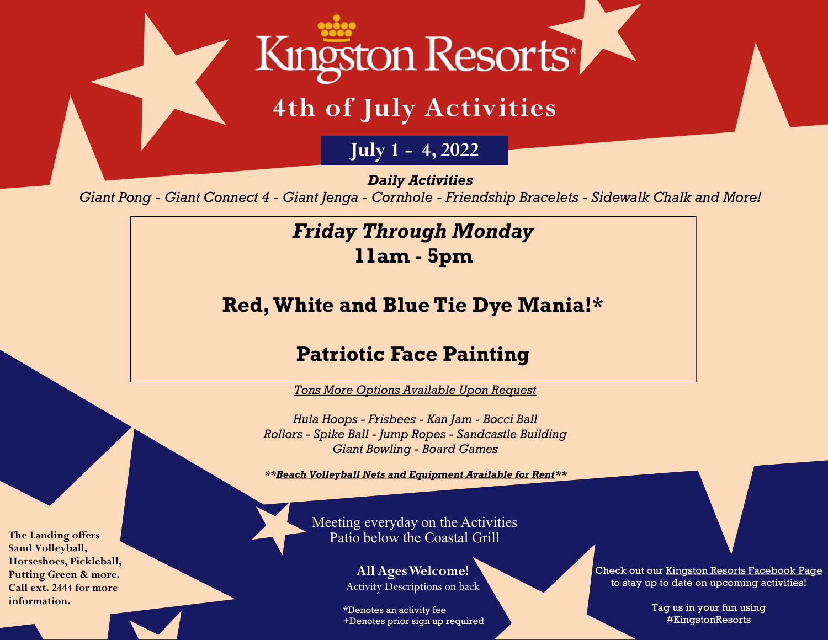

# **4th of July Activities**

**July 1 - 4, 2022**

*Daily Activities*

*Giant Pong - Giant Connect 4 - Giant Jenga - Cornhole - Friendship Bracelets - Sidewalk Chalk and More!*

# *Friday Through Monday* **11am - 5pm**

**Red, White and Blue Tie Dye Mania!\***

## **Patriotic Face Painting**

*Tons More Options Available Upon Request*

*Hula Hoops - Frisbees - Kan Jam - Bocci Ball Rollors - Spike Ball - Jump Ropes - Sandcastle Building Giant Bowling - Board Games*

*\*\*Beach Volleyball Nets and Equipment Available for Rent\*\**

Meeting everyday on the Activities Patio below the Coastal Grill

> **All Ages Welcome!** Activity Descriptions on back

\*Denotes an activity fee +Denotes prior sign up required Check out our [Kingston Resorts Facebook Page](https://www.facebook.com/KingstonResorts/) to stay up to date on upcoming activities!

> Tag us in your fun using #KingstonResorts

**The Landing offers Sand Volleyball, Horseshoes, Pickleball, Putting Green & more. Call ext. 2444 for more information.**